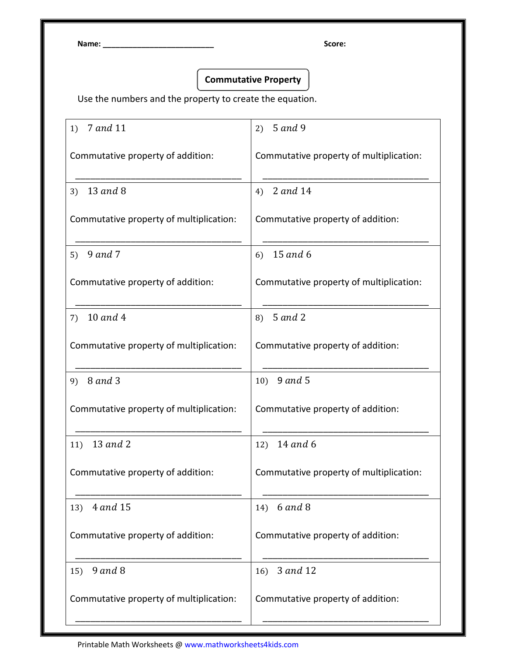Name: \_\_\_\_\_\_\_\_\_\_\_\_\_\_\_\_\_\_\_\_\_\_\_\_\_\_ Score:

## Commutative Property

Use the numbers and the property to create the equation.

| 7 and 11<br>1)                          | 2) $5$ and 9                            |
|-----------------------------------------|-----------------------------------------|
| Commutative property of addition:       | Commutative property of multiplication: |
| 13 and 8<br>3)                          | 4) 2 and 14                             |
| Commutative property of multiplication: | Commutative property of addition:       |
| 9 and 7<br>5)                           | 15 and 6<br>6)                          |
| Commutative property of addition:       | Commutative property of multiplication: |
| 10 and 4<br>7)                          | 5 and 2<br>8)                           |
| Commutative property of multiplication: | Commutative property of addition:       |
| 8 and 3<br>9)                           | 10) $9$ and 5                           |
| Commutative property of multiplication: | Commutative property of addition:       |
| 13 and 2<br>11)                         | 14 and 6<br>12)                         |
| Commutative property of addition:       | Commutative property of multiplication: |
| 4 and 15<br>13)                         | <b>6</b> and 8<br>14)                   |
| Commutative property of addition:       | Commutative property of addition:       |
| $9$ and $8$<br>15)                      | 3 and 12<br>16)                         |
| Commutative property of multiplication: | Commutative property of addition:       |